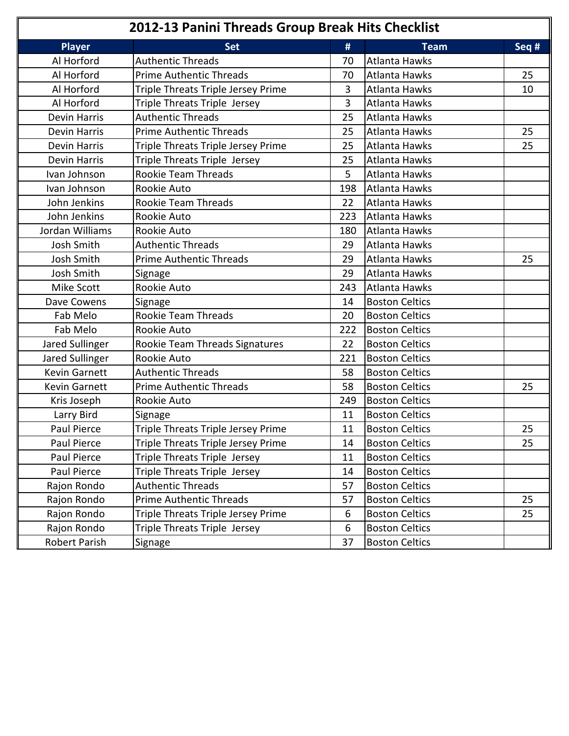| 2012-13 Panini Threads Group Break Hits Checklist |                                    |     |                       |       |
|---------------------------------------------------|------------------------------------|-----|-----------------------|-------|
| <b>Player</b>                                     | <b>Set</b>                         | #   | <b>Team</b>           | Seq # |
| Al Horford                                        | <b>Authentic Threads</b>           | 70  | <b>Atlanta Hawks</b>  |       |
| Al Horford                                        | <b>Prime Authentic Threads</b>     | 70  | Atlanta Hawks         | 25    |
| Al Horford                                        | Triple Threats Triple Jersey Prime | 3   | <b>Atlanta Hawks</b>  | 10    |
| Al Horford                                        | Triple Threats Triple Jersey       | 3   | <b>Atlanta Hawks</b>  |       |
| <b>Devin Harris</b>                               | <b>Authentic Threads</b>           | 25  | <b>Atlanta Hawks</b>  |       |
| Devin Harris                                      | <b>Prime Authentic Threads</b>     | 25  | <b>Atlanta Hawks</b>  | 25    |
| <b>Devin Harris</b>                               | Triple Threats Triple Jersey Prime | 25  | <b>Atlanta Hawks</b>  | 25    |
| Devin Harris                                      | Triple Threats Triple Jersey       | 25  | <b>Atlanta Hawks</b>  |       |
| Ivan Johnson                                      | Rookie Team Threads                | 5   | <b>Atlanta Hawks</b>  |       |
| Ivan Johnson                                      | Rookie Auto                        | 198 | <b>Atlanta Hawks</b>  |       |
| John Jenkins                                      | Rookie Team Threads                | 22  | Atlanta Hawks         |       |
| John Jenkins                                      | Rookie Auto                        | 223 | <b>Atlanta Hawks</b>  |       |
| Jordan Williams                                   | Rookie Auto                        | 180 | Atlanta Hawks         |       |
| Josh Smith                                        | <b>Authentic Threads</b>           | 29  | <b>Atlanta Hawks</b>  |       |
| Josh Smith                                        | <b>Prime Authentic Threads</b>     | 29  | <b>Atlanta Hawks</b>  | 25    |
| Josh Smith                                        | Signage                            | 29  | <b>Atlanta Hawks</b>  |       |
| Mike Scott                                        | Rookie Auto                        | 243 | <b>Atlanta Hawks</b>  |       |
| Dave Cowens                                       | Signage                            | 14  | <b>Boston Celtics</b> |       |
| Fab Melo                                          | Rookie Team Threads                | 20  | <b>Boston Celtics</b> |       |
| Fab Melo                                          | Rookie Auto                        | 222 | <b>Boston Celtics</b> |       |
| Jared Sullinger                                   | Rookie Team Threads Signatures     | 22  | <b>Boston Celtics</b> |       |
| Jared Sullinger                                   | Rookie Auto                        | 221 | <b>Boston Celtics</b> |       |
| <b>Kevin Garnett</b>                              | <b>Authentic Threads</b>           | 58  | <b>Boston Celtics</b> |       |
| <b>Kevin Garnett</b>                              | <b>Prime Authentic Threads</b>     | 58  | <b>Boston Celtics</b> | 25    |
| Kris Joseph                                       | Rookie Auto                        | 249 | <b>Boston Celtics</b> |       |
| Larry Bird                                        | Signage                            | 11  | <b>Boston Celtics</b> |       |
| Paul Pierce                                       | Triple Threats Triple Jersey Prime | 11  | <b>Boston Celtics</b> | 25    |
| Paul Pierce                                       | Triple Threats Triple Jersey Prime | 14  | <b>Boston Celtics</b> | 25    |
| Paul Pierce                                       | Triple Threats Triple Jersey       | 11  | <b>Boston Celtics</b> |       |
| Paul Pierce                                       | Triple Threats Triple Jersey       | 14  | <b>Boston Celtics</b> |       |
| Rajon Rondo                                       | <b>Authentic Threads</b>           | 57  | <b>Boston Celtics</b> |       |
| Rajon Rondo                                       | <b>Prime Authentic Threads</b>     | 57  | <b>Boston Celtics</b> | 25    |
| Rajon Rondo                                       | Triple Threats Triple Jersey Prime | 6   | <b>Boston Celtics</b> | 25    |
| Rajon Rondo                                       | Triple Threats Triple Jersey       | 6   | <b>Boston Celtics</b> |       |
| Robert Parish                                     | Signage                            | 37  | <b>Boston Celtics</b> |       |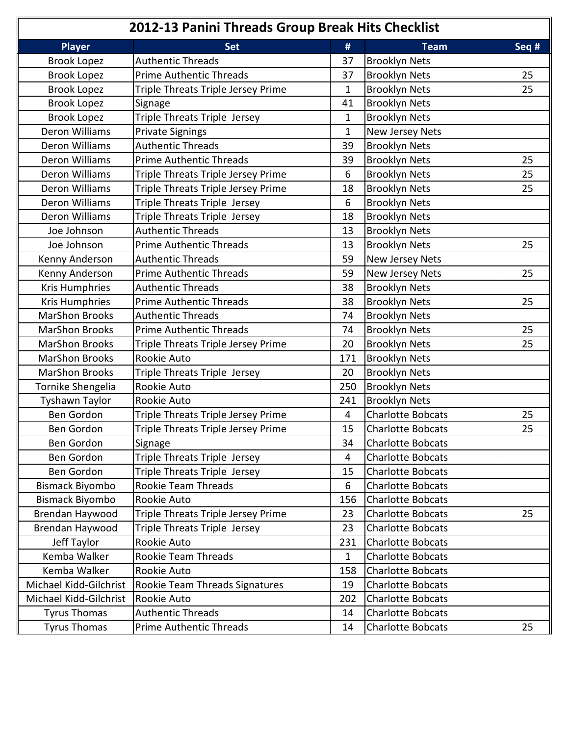| 2012-13 Panini Threads Group Break Hits Checklist |                                       |              |                          |       |
|---------------------------------------------------|---------------------------------------|--------------|--------------------------|-------|
| <b>Player</b>                                     | <b>Set</b>                            | #            | <b>Team</b>              | Seq # |
| <b>Brook Lopez</b>                                | <b>Authentic Threads</b>              | 37           | <b>Brooklyn Nets</b>     |       |
| <b>Brook Lopez</b>                                | <b>Prime Authentic Threads</b>        | 37           | <b>Brooklyn Nets</b>     | 25    |
| <b>Brook Lopez</b>                                | Triple Threats Triple Jersey Prime    | $\mathbf{1}$ | <b>Brooklyn Nets</b>     | 25    |
| <b>Brook Lopez</b>                                | Signage                               | 41           | <b>Brooklyn Nets</b>     |       |
| <b>Brook Lopez</b>                                | Triple Threats Triple Jersey          | $\mathbf{1}$ | <b>Brooklyn Nets</b>     |       |
| Deron Williams                                    | <b>Private Signings</b>               | $\mathbf{1}$ | New Jersey Nets          |       |
| Deron Williams                                    | <b>Authentic Threads</b>              | 39           | <b>Brooklyn Nets</b>     |       |
| Deron Williams                                    | <b>Prime Authentic Threads</b>        | 39           | <b>Brooklyn Nets</b>     | 25    |
| Deron Williams                                    | Triple Threats Triple Jersey Prime    | 6            | <b>Brooklyn Nets</b>     | 25    |
| Deron Williams                                    | Triple Threats Triple Jersey Prime    | 18           | <b>Brooklyn Nets</b>     | 25    |
| Deron Williams                                    | Triple Threats Triple Jersey          | 6            | <b>Brooklyn Nets</b>     |       |
| Deron Williams                                    | Triple Threats Triple Jersey          | 18           | <b>Brooklyn Nets</b>     |       |
| Joe Johnson                                       | <b>Authentic Threads</b>              | 13           | <b>Brooklyn Nets</b>     |       |
| Joe Johnson                                       | <b>Prime Authentic Threads</b>        | 13           | <b>Brooklyn Nets</b>     | 25    |
| Kenny Anderson                                    | <b>Authentic Threads</b>              | 59           | New Jersey Nets          |       |
| Kenny Anderson                                    | <b>Prime Authentic Threads</b>        | 59           | New Jersey Nets          | 25    |
| <b>Kris Humphries</b>                             | <b>Authentic Threads</b>              | 38           | <b>Brooklyn Nets</b>     |       |
| Kris Humphries                                    | <b>Prime Authentic Threads</b>        | 38           | <b>Brooklyn Nets</b>     | 25    |
| <b>MarShon Brooks</b>                             | <b>Authentic Threads</b>              | 74           | <b>Brooklyn Nets</b>     |       |
| <b>MarShon Brooks</b>                             | <b>Prime Authentic Threads</b>        | 74           | <b>Brooklyn Nets</b>     | 25    |
| <b>MarShon Brooks</b>                             | Triple Threats Triple Jersey Prime    | 20           | <b>Brooklyn Nets</b>     | 25    |
| <b>MarShon Brooks</b>                             | Rookie Auto                           | 171          | <b>Brooklyn Nets</b>     |       |
| <b>MarShon Brooks</b>                             | Triple Threats Triple Jersey          | 20           | <b>Brooklyn Nets</b>     |       |
| Tornike Shengelia                                 | Rookie Auto                           | 250          | <b>Brooklyn Nets</b>     |       |
| Tyshawn Taylor                                    | Rookie Auto                           | 241          | <b>Brooklyn Nets</b>     |       |
| Ben Gordon                                        | Triple Threats Triple Jersey Prime    | 4            | <b>Charlotte Bobcats</b> | 25    |
| Ben Gordon                                        | Triple Threats Triple Jersey Prime    | 15           | <b>Charlotte Bobcats</b> | 25    |
| Ben Gordon                                        | Signage                               | 34           | <b>Charlotte Bobcats</b> |       |
| Ben Gordon                                        | Triple Threats Triple Jersey          | 4            | <b>Charlotte Bobcats</b> |       |
| Ben Gordon                                        | Triple Threats Triple Jersey          | 15           | Charlotte Bobcats        |       |
| <b>Bismack Biyombo</b>                            | Rookie Team Threads                   | 6            | <b>Charlotte Bobcats</b> |       |
| <b>Bismack Biyombo</b>                            | Rookie Auto                           | 156          | <b>Charlotte Bobcats</b> |       |
| Brendan Haywood                                   | Triple Threats Triple Jersey Prime    | 23           | <b>Charlotte Bobcats</b> | 25    |
| Brendan Haywood                                   | Triple Threats Triple Jersey          | 23           | <b>Charlotte Bobcats</b> |       |
| Jeff Taylor                                       | Rookie Auto                           | 231          | <b>Charlotte Bobcats</b> |       |
| Kemba Walker                                      | Rookie Team Threads                   | 1            | <b>Charlotte Bobcats</b> |       |
| Kemba Walker                                      | Rookie Auto                           | 158          | <b>Charlotte Bobcats</b> |       |
| Michael Kidd-Gilchrist                            | <b>Rookie Team Threads Signatures</b> | 19           | Charlotte Bobcats        |       |
| Michael Kidd-Gilchrist                            | Rookie Auto                           | 202          | <b>Charlotte Bobcats</b> |       |
| <b>Tyrus Thomas</b>                               | <b>Authentic Threads</b>              | 14           | <b>Charlotte Bobcats</b> |       |
| <b>Tyrus Thomas</b>                               | <b>Prime Authentic Threads</b>        | 14           | <b>Charlotte Bobcats</b> | 25    |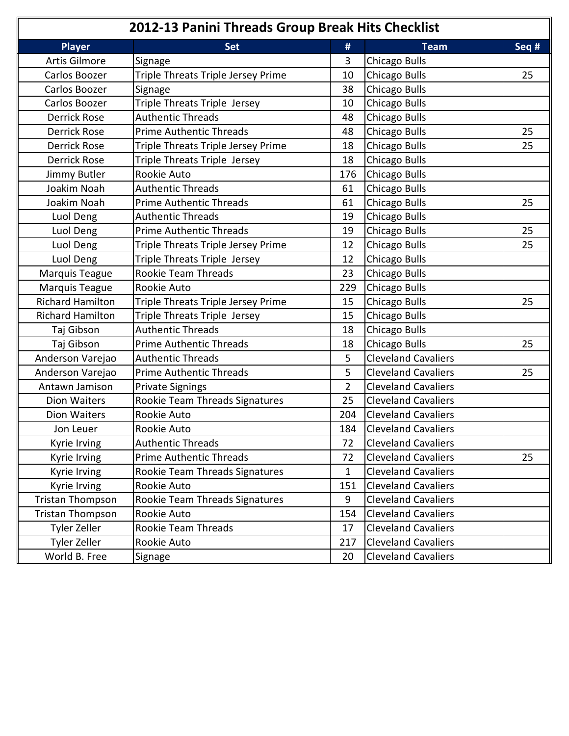| 2012-13 Panini Threads Group Break Hits Checklist |                                    |                |                            |       |
|---------------------------------------------------|------------------------------------|----------------|----------------------------|-------|
| <b>Player</b>                                     | <b>Set</b>                         | #              | <b>Team</b>                | Seq # |
| Artis Gilmore                                     | Signage                            | 3              | Chicago Bulls              |       |
| Carlos Boozer                                     | Triple Threats Triple Jersey Prime | 10             | Chicago Bulls              | 25    |
| Carlos Boozer                                     | Signage                            | 38             | Chicago Bulls              |       |
| Carlos Boozer                                     | Triple Threats Triple Jersey       | 10             | Chicago Bulls              |       |
| <b>Derrick Rose</b>                               | <b>Authentic Threads</b>           | 48             | Chicago Bulls              |       |
| <b>Derrick Rose</b>                               | <b>Prime Authentic Threads</b>     | 48             | Chicago Bulls              | 25    |
| <b>Derrick Rose</b>                               | Triple Threats Triple Jersey Prime | 18             | Chicago Bulls              | 25    |
| <b>Derrick Rose</b>                               | Triple Threats Triple Jersey       | 18             | Chicago Bulls              |       |
| Jimmy Butler                                      | Rookie Auto                        | 176            | Chicago Bulls              |       |
| Joakim Noah                                       | <b>Authentic Threads</b>           | 61             | Chicago Bulls              |       |
| Joakim Noah                                       | <b>Prime Authentic Threads</b>     | 61             | Chicago Bulls              | 25    |
| Luol Deng                                         | <b>Authentic Threads</b>           | 19             | Chicago Bulls              |       |
| Luol Deng                                         | <b>Prime Authentic Threads</b>     | 19             | Chicago Bulls              | 25    |
| Luol Deng                                         | Triple Threats Triple Jersey Prime | 12             | Chicago Bulls              | 25    |
| Luol Deng                                         | Triple Threats Triple Jersey       | 12             | Chicago Bulls              |       |
| Marquis Teague                                    | Rookie Team Threads                | 23             | Chicago Bulls              |       |
| Marquis Teague                                    | Rookie Auto                        | 229            | Chicago Bulls              |       |
| <b>Richard Hamilton</b>                           | Triple Threats Triple Jersey Prime | 15             | Chicago Bulls              | 25    |
| <b>Richard Hamilton</b>                           | Triple Threats Triple Jersey       | 15             | Chicago Bulls              |       |
| Taj Gibson                                        | <b>Authentic Threads</b>           | 18             | Chicago Bulls              |       |
| Taj Gibson                                        | <b>Prime Authentic Threads</b>     | 18             | <b>Chicago Bulls</b>       | 25    |
| Anderson Varejao                                  | <b>Authentic Threads</b>           | 5              | <b>Cleveland Cavaliers</b> |       |
| Anderson Varejao                                  | <b>Prime Authentic Threads</b>     | 5              | <b>Cleveland Cavaliers</b> | 25    |
| Antawn Jamison                                    | <b>Private Signings</b>            | $\overline{2}$ | <b>Cleveland Cavaliers</b> |       |
| <b>Dion Waiters</b>                               | Rookie Team Threads Signatures     | 25             | <b>Cleveland Cavaliers</b> |       |
| <b>Dion Waiters</b>                               | Rookie Auto                        | 204            | <b>Cleveland Cavaliers</b> |       |
| Jon Leuer                                         | Rookie Auto                        | 184            | <b>Cleveland Cavaliers</b> |       |
| Kyrie Irving                                      | <b>Authentic Threads</b>           | 72             | <b>Cleveland Cavaliers</b> |       |
| Kyrie Irving                                      | <b>Prime Authentic Threads</b>     | 72             | <b>Cleveland Cavaliers</b> | 25    |
| Kyrie Irving                                      | Rookie Team Threads Signatures     | 1              | <b>Cleveland Cavaliers</b> |       |
| Kyrie Irving                                      | Rookie Auto                        | 151            | <b>Cleveland Cavaliers</b> |       |
| Tristan Thompson                                  | Rookie Team Threads Signatures     | 9              | <b>Cleveland Cavaliers</b> |       |
| <b>Tristan Thompson</b>                           | Rookie Auto                        | 154            | <b>Cleveland Cavaliers</b> |       |
| Tyler Zeller                                      | Rookie Team Threads                | 17             | <b>Cleveland Cavaliers</b> |       |
| Tyler Zeller                                      | Rookie Auto                        | 217            | <b>Cleveland Cavaliers</b> |       |
| World B. Free                                     | Signage                            | 20             | <b>Cleveland Cavaliers</b> |       |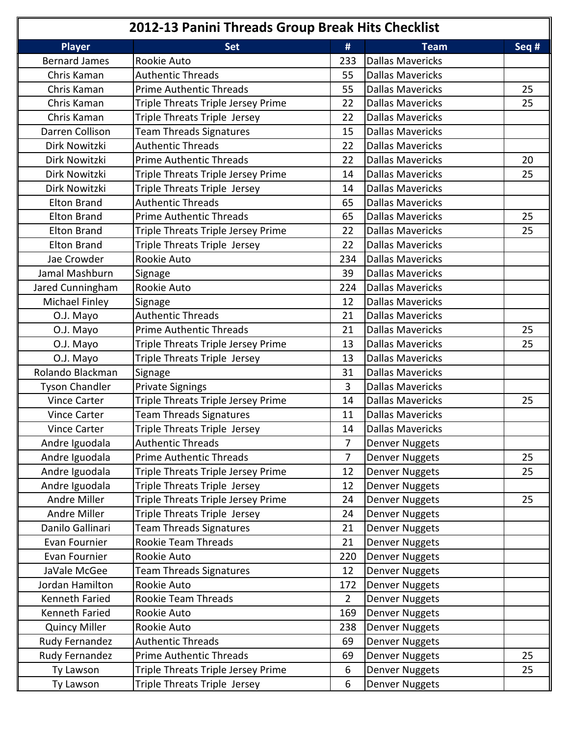| 2012-13 Panini Threads Group Break Hits Checklist |                                    |                  |                         |         |
|---------------------------------------------------|------------------------------------|------------------|-------------------------|---------|
| <b>Player</b>                                     | <b>Set</b>                         | #                | <b>Team</b>             | Seq $#$ |
| <b>Bernard James</b>                              | Rookie Auto                        | 233              | <b>Dallas Mavericks</b> |         |
| Chris Kaman                                       | <b>Authentic Threads</b>           | 55               | <b>Dallas Mavericks</b> |         |
| Chris Kaman                                       | <b>Prime Authentic Threads</b>     | 55               | <b>Dallas Mavericks</b> | 25      |
| Chris Kaman                                       | Triple Threats Triple Jersey Prime | 22               | <b>Dallas Mavericks</b> | 25      |
| Chris Kaman                                       | Triple Threats Triple Jersey       | 22               | <b>Dallas Mavericks</b> |         |
| Darren Collison                                   | <b>Team Threads Signatures</b>     | 15               | <b>Dallas Mavericks</b> |         |
| Dirk Nowitzki                                     | <b>Authentic Threads</b>           | 22               | <b>Dallas Mavericks</b> |         |
| Dirk Nowitzki                                     | <b>Prime Authentic Threads</b>     | 22               | <b>Dallas Mavericks</b> | 20      |
| Dirk Nowitzki                                     | Triple Threats Triple Jersey Prime | 14               | <b>Dallas Mavericks</b> | 25      |
| Dirk Nowitzki                                     | Triple Threats Triple Jersey       | 14               | <b>Dallas Mavericks</b> |         |
| <b>Elton Brand</b>                                | <b>Authentic Threads</b>           | 65               | <b>Dallas Mavericks</b> |         |
| <b>Elton Brand</b>                                | <b>Prime Authentic Threads</b>     | 65               | <b>Dallas Mavericks</b> | 25      |
| <b>Elton Brand</b>                                | Triple Threats Triple Jersey Prime | 22               | <b>Dallas Mavericks</b> | 25      |
| <b>Elton Brand</b>                                | Triple Threats Triple Jersey       | 22               | <b>Dallas Mavericks</b> |         |
| Jae Crowder                                       | Rookie Auto                        | 234              | <b>Dallas Mavericks</b> |         |
| Jamal Mashburn                                    | Signage                            | 39               | <b>Dallas Mavericks</b> |         |
| Jared Cunningham                                  | Rookie Auto                        | 224              | <b>Dallas Mavericks</b> |         |
| Michael Finley                                    | Signage                            | 12               | <b>Dallas Mavericks</b> |         |
| O.J. Mayo                                         | <b>Authentic Threads</b>           | 21               | <b>Dallas Mavericks</b> |         |
| O.J. Mayo                                         | <b>Prime Authentic Threads</b>     | 21               | <b>Dallas Mavericks</b> | 25      |
| O.J. Mayo                                         | Triple Threats Triple Jersey Prime | 13               | <b>Dallas Mavericks</b> | 25      |
| O.J. Mayo                                         | Triple Threats Triple Jersey       | 13               | <b>Dallas Mavericks</b> |         |
| Rolando Blackman                                  | Signage                            | 31               | <b>Dallas Mavericks</b> |         |
| <b>Tyson Chandler</b>                             | <b>Private Signings</b>            | 3                | <b>Dallas Mavericks</b> |         |
| <b>Vince Carter</b>                               | Triple Threats Triple Jersey Prime | 14               | <b>Dallas Mavericks</b> | 25      |
| <b>Vince Carter</b>                               | <b>Team Threads Signatures</b>     | 11               | <b>Dallas Mavericks</b> |         |
| Vince Carter                                      | Triple Threats Triple Jersey       | 14               | <b>Dallas Mavericks</b> |         |
| Andre Iguodala                                    | <b>Authentic Threads</b>           | $\overline{7}$   | <b>Denver Nuggets</b>   |         |
| Andre Iguodala                                    | <b>Prime Authentic Threads</b>     | $\overline{7}$   | <b>Denver Nuggets</b>   | 25      |
| Andre Iguodala                                    | Triple Threats Triple Jersey Prime | 12               | <b>Denver Nuggets</b>   | 25      |
| Andre Iguodala                                    | Triple Threats Triple Jersey       | 12               | <b>Denver Nuggets</b>   |         |
| Andre Miller                                      | Triple Threats Triple Jersey Prime | 24               | <b>Denver Nuggets</b>   | 25      |
| Andre Miller                                      | Triple Threats Triple Jersey       | 24               | <b>Denver Nuggets</b>   |         |
| Danilo Gallinari                                  | <b>Team Threads Signatures</b>     | 21               | <b>Denver Nuggets</b>   |         |
| Evan Fournier                                     | Rookie Team Threads                | 21               | <b>Denver Nuggets</b>   |         |
| Evan Fournier                                     | Rookie Auto                        | 220              | <b>Denver Nuggets</b>   |         |
| JaVale McGee                                      | Team Threads Signatures            | 12               | <b>Denver Nuggets</b>   |         |
| Jordan Hamilton                                   | Rookie Auto                        | 172              | <b>Denver Nuggets</b>   |         |
| Kenneth Faried                                    | Rookie Team Threads                | $\overline{2}$   | <b>Denver Nuggets</b>   |         |
| Kenneth Faried                                    | Rookie Auto                        | 169              | <b>Denver Nuggets</b>   |         |
| <b>Quincy Miller</b>                              | Rookie Auto                        | 238              | <b>Denver Nuggets</b>   |         |
| Rudy Fernandez                                    | <b>Authentic Threads</b>           | 69               | <b>Denver Nuggets</b>   |         |
| Rudy Fernandez                                    | <b>Prime Authentic Threads</b>     | 69               | <b>Denver Nuggets</b>   | 25      |
| Ty Lawson                                         | Triple Threats Triple Jersey Prime | $6\phantom{1}6$  | <b>Denver Nuggets</b>   | 25      |
| Ty Lawson                                         | Triple Threats Triple Jersey       | $\boldsymbol{6}$ | <b>Denver Nuggets</b>   |         |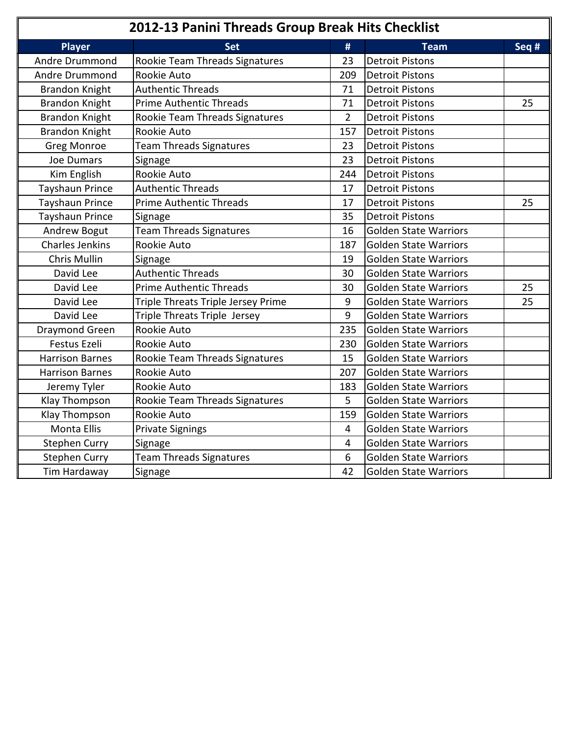| 2012-13 Panini Threads Group Break Hits Checklist |                                       |                |                              |       |
|---------------------------------------------------|---------------------------------------|----------------|------------------------------|-------|
| <b>Player</b>                                     | <b>Set</b>                            | #              | <b>Team</b>                  | Seq # |
| Andre Drummond                                    | <b>Rookie Team Threads Signatures</b> | 23             | <b>Detroit Pistons</b>       |       |
| Andre Drummond                                    | Rookie Auto                           | 209            | <b>Detroit Pistons</b>       |       |
| <b>Brandon Knight</b>                             | <b>Authentic Threads</b>              | 71             | <b>Detroit Pistons</b>       |       |
| <b>Brandon Knight</b>                             | <b>Prime Authentic Threads</b>        | 71             | <b>Detroit Pistons</b>       | 25    |
| <b>Brandon Knight</b>                             | Rookie Team Threads Signatures        | $\overline{2}$ | <b>Detroit Pistons</b>       |       |
| <b>Brandon Knight</b>                             | Rookie Auto                           | 157            | <b>Detroit Pistons</b>       |       |
| <b>Greg Monroe</b>                                | <b>Team Threads Signatures</b>        | 23             | <b>Detroit Pistons</b>       |       |
| <b>Joe Dumars</b>                                 | Signage                               | 23             | <b>Detroit Pistons</b>       |       |
| Kim English                                       | Rookie Auto                           | 244            | <b>Detroit Pistons</b>       |       |
| Tayshaun Prince                                   | <b>Authentic Threads</b>              | 17             | <b>Detroit Pistons</b>       |       |
| Tayshaun Prince                                   | <b>Prime Authentic Threads</b>        | 17             | <b>Detroit Pistons</b>       | 25    |
| Tayshaun Prince                                   | Signage                               | 35             | <b>Detroit Pistons</b>       |       |
| Andrew Bogut                                      | <b>Team Threads Signatures</b>        | 16             | <b>Golden State Warriors</b> |       |
| <b>Charles Jenkins</b>                            | Rookie Auto                           | 187            | <b>Golden State Warriors</b> |       |
| Chris Mullin                                      | Signage                               | 19             | <b>Golden State Warriors</b> |       |
| David Lee                                         | <b>Authentic Threads</b>              | 30             | <b>Golden State Warriors</b> |       |
| David Lee                                         | <b>Prime Authentic Threads</b>        | 30             | <b>Golden State Warriors</b> | 25    |
| David Lee                                         | Triple Threats Triple Jersey Prime    | 9              | <b>Golden State Warriors</b> | 25    |
| David Lee                                         | Triple Threats Triple Jersey          | 9              | <b>Golden State Warriors</b> |       |
| Draymond Green                                    | Rookie Auto                           | 235            | <b>Golden State Warriors</b> |       |
| Festus Ezeli                                      | Rookie Auto                           | 230            | <b>Golden State Warriors</b> |       |
| <b>Harrison Barnes</b>                            | Rookie Team Threads Signatures        | 15             | <b>Golden State Warriors</b> |       |
| <b>Harrison Barnes</b>                            | Rookie Auto                           | 207            | <b>Golden State Warriors</b> |       |
| Jeremy Tyler                                      | Rookie Auto                           | 183            | <b>Golden State Warriors</b> |       |
| Klay Thompson                                     | Rookie Team Threads Signatures        | 5              | <b>Golden State Warriors</b> |       |
| Klay Thompson                                     | Rookie Auto                           | 159            | <b>Golden State Warriors</b> |       |
| <b>Monta Ellis</b>                                | <b>Private Signings</b>               | $\overline{4}$ | <b>Golden State Warriors</b> |       |
| <b>Stephen Curry</b>                              | Signage                               | $\overline{4}$ | <b>Golden State Warriors</b> |       |
| <b>Stephen Curry</b>                              | <b>Team Threads Signatures</b>        | 6              | <b>Golden State Warriors</b> |       |
| Tim Hardaway                                      | Signage                               | 42             | <b>Golden State Warriors</b> |       |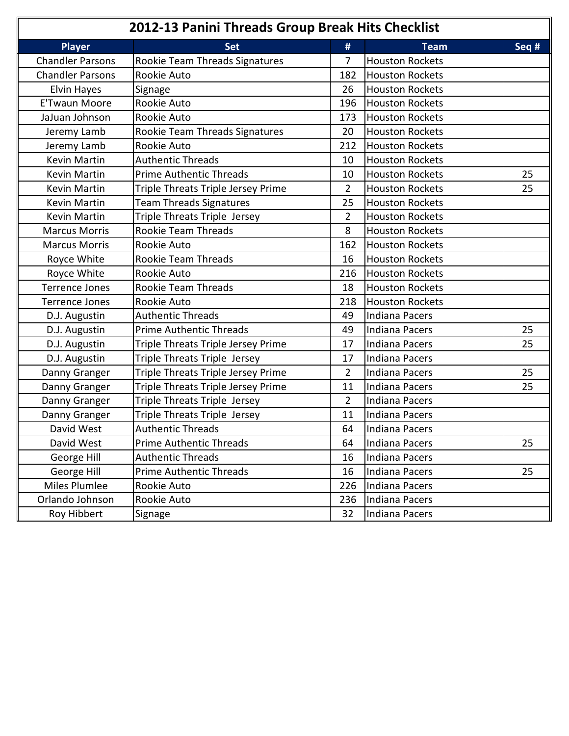| 2012-13 Panini Threads Group Break Hits Checklist |                                    |                |                        |       |
|---------------------------------------------------|------------------------------------|----------------|------------------------|-------|
| <b>Player</b>                                     | <b>Set</b>                         | #              | <b>Team</b>            | Seq # |
| <b>Chandler Parsons</b>                           | Rookie Team Threads Signatures     | 7              | <b>Houston Rockets</b> |       |
| <b>Chandler Parsons</b>                           | Rookie Auto                        | 182            | <b>Houston Rockets</b> |       |
| Elvin Hayes                                       | Signage                            | 26             | <b>Houston Rockets</b> |       |
| <b>E'Twaun Moore</b>                              | Rookie Auto                        | 196            | <b>Houston Rockets</b> |       |
| JaJuan Johnson                                    | Rookie Auto                        | 173            | <b>Houston Rockets</b> |       |
| Jeremy Lamb                                       | Rookie Team Threads Signatures     | 20             | <b>Houston Rockets</b> |       |
| Jeremy Lamb                                       | Rookie Auto                        | 212            | <b>Houston Rockets</b> |       |
| Kevin Martin                                      | <b>Authentic Threads</b>           | 10             | <b>Houston Rockets</b> |       |
| Kevin Martin                                      | <b>Prime Authentic Threads</b>     | 10             | <b>Houston Rockets</b> | 25    |
| Kevin Martin                                      | Triple Threats Triple Jersey Prime | $\overline{2}$ | <b>Houston Rockets</b> | 25    |
| Kevin Martin                                      | <b>Team Threads Signatures</b>     | 25             | <b>Houston Rockets</b> |       |
| Kevin Martin                                      | Triple Threats Triple Jersey       | $\overline{2}$ | <b>Houston Rockets</b> |       |
| <b>Marcus Morris</b>                              | Rookie Team Threads                | 8              | <b>Houston Rockets</b> |       |
| <b>Marcus Morris</b>                              | Rookie Auto                        | 162            | <b>Houston Rockets</b> |       |
| Royce White                                       | Rookie Team Threads                | 16             | <b>Houston Rockets</b> |       |
| Royce White                                       | Rookie Auto                        | 216            | <b>Houston Rockets</b> |       |
| <b>Terrence Jones</b>                             | Rookie Team Threads                | 18             | <b>Houston Rockets</b> |       |
| <b>Terrence Jones</b>                             | Rookie Auto                        | 218            | <b>Houston Rockets</b> |       |
| D.J. Augustin                                     | <b>Authentic Threads</b>           | 49             | <b>Indiana Pacers</b>  |       |
| D.J. Augustin                                     | <b>Prime Authentic Threads</b>     | 49             | Indiana Pacers         | 25    |
| D.J. Augustin                                     | Triple Threats Triple Jersey Prime | 17             | Indiana Pacers         | 25    |
| D.J. Augustin                                     | Triple Threats Triple Jersey       | 17             | Indiana Pacers         |       |
| Danny Granger                                     | Triple Threats Triple Jersey Prime | $\overline{2}$ | Indiana Pacers         | 25    |
| Danny Granger                                     | Triple Threats Triple Jersey Prime | 11             | Indiana Pacers         | 25    |
| Danny Granger                                     | Triple Threats Triple Jersey       | $\overline{2}$ | Indiana Pacers         |       |
| Danny Granger                                     | Triple Threats Triple Jersey       | 11             | Indiana Pacers         |       |
| David West                                        | <b>Authentic Threads</b>           | 64             | Indiana Pacers         |       |
| David West                                        | Prime Authentic Threads            | 64             | Indiana Pacers         | 25    |
| George Hill                                       | <b>Authentic Threads</b>           | 16             | Indiana Pacers         |       |
| George Hill                                       | <b>Prime Authentic Threads</b>     | 16             | <b>Indiana Pacers</b>  | 25    |
| Miles Plumlee                                     | Rookie Auto                        | 226            | Indiana Pacers         |       |
| Orlando Johnson                                   | Rookie Auto                        | 236            | Indiana Pacers         |       |
| Roy Hibbert                                       | Signage                            | 32             | Indiana Pacers         |       |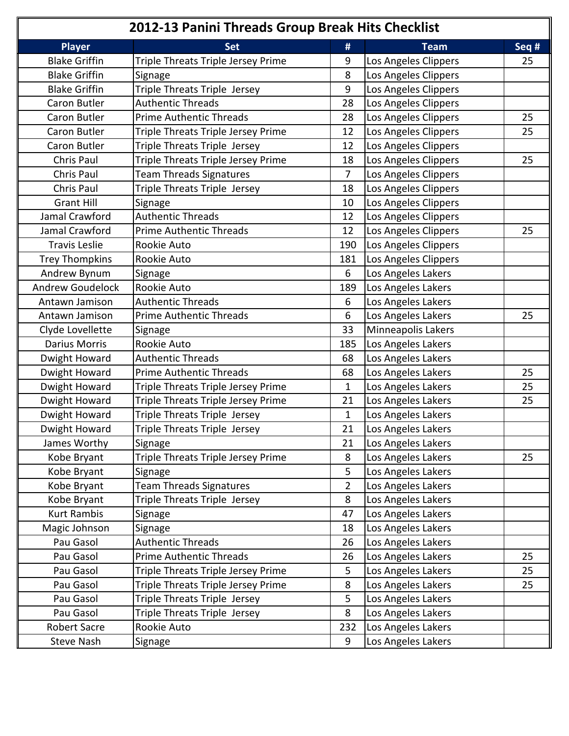|                         | 2012-13 Panini Threads Group Break Hits Checklist |                |                      |       |
|-------------------------|---------------------------------------------------|----------------|----------------------|-------|
| <b>Player</b>           | <b>Set</b>                                        | #              | <b>Team</b>          | Seq # |
| <b>Blake Griffin</b>    | Triple Threats Triple Jersey Prime                | 9              | Los Angeles Clippers | 25    |
| <b>Blake Griffin</b>    | Signage                                           | 8              | Los Angeles Clippers |       |
| <b>Blake Griffin</b>    | Triple Threats Triple Jersey                      | 9              | Los Angeles Clippers |       |
| Caron Butler            | <b>Authentic Threads</b>                          | 28             | Los Angeles Clippers |       |
| Caron Butler            | <b>Prime Authentic Threads</b>                    | 28             | Los Angeles Clippers | 25    |
| Caron Butler            | Triple Threats Triple Jersey Prime                | 12             | Los Angeles Clippers | 25    |
| Caron Butler            | Triple Threats Triple Jersey                      | 12             | Los Angeles Clippers |       |
| Chris Paul              | Triple Threats Triple Jersey Prime                | 18             | Los Angeles Clippers | 25    |
| Chris Paul              | <b>Team Threads Signatures</b>                    | $\overline{7}$ | Los Angeles Clippers |       |
| Chris Paul              | Triple Threats Triple Jersey                      | 18             | Los Angeles Clippers |       |
| <b>Grant Hill</b>       | Signage                                           | 10             | Los Angeles Clippers |       |
| Jamal Crawford          | <b>Authentic Threads</b>                          | 12             | Los Angeles Clippers |       |
| Jamal Crawford          | <b>Prime Authentic Threads</b>                    | 12             | Los Angeles Clippers | 25    |
| <b>Travis Leslie</b>    | Rookie Auto                                       | 190            | Los Angeles Clippers |       |
| <b>Trey Thompkins</b>   | Rookie Auto                                       | 181            | Los Angeles Clippers |       |
| Andrew Bynum            | Signage                                           | 6              | Los Angeles Lakers   |       |
| <b>Andrew Goudelock</b> | Rookie Auto                                       | 189            | Los Angeles Lakers   |       |
| Antawn Jamison          | <b>Authentic Threads</b>                          | 6              | Los Angeles Lakers   |       |
| Antawn Jamison          | <b>Prime Authentic Threads</b>                    | 6              | Los Angeles Lakers   | 25    |
| Clyde Lovellette        | Signage                                           | 33             | Minneapolis Lakers   |       |
| <b>Darius Morris</b>    | Rookie Auto                                       | 185            | Los Angeles Lakers   |       |
| Dwight Howard           | <b>Authentic Threads</b>                          | 68             | Los Angeles Lakers   |       |
| Dwight Howard           | <b>Prime Authentic Threads</b>                    | 68             | Los Angeles Lakers   | 25    |
| Dwight Howard           | Triple Threats Triple Jersey Prime                | $\mathbf{1}$   | Los Angeles Lakers   | 25    |
| Dwight Howard           | Triple Threats Triple Jersey Prime                | 21             | Los Angeles Lakers   | 25    |
| Dwight Howard           | Triple Threats Triple Jersey                      | $\mathbf{1}$   | Los Angeles Lakers   |       |
| Dwight Howard           | Triple Threats Triple Jersey                      | 21             | Los Angeles Lakers   |       |
| James Worthy            | Signage                                           | 21             | Los Angeles Lakers   |       |
| Kobe Bryant             | Triple Threats Triple Jersey Prime                | 8              | Los Angeles Lakers   | 25    |
| Kobe Bryant             | Signage                                           | 5              | Los Angeles Lakers   |       |
| Kobe Bryant             | <b>Team Threads Signatures</b>                    | $\overline{2}$ | Los Angeles Lakers   |       |
| Kobe Bryant             | Triple Threats Triple Jersey                      | 8              | Los Angeles Lakers   |       |
| <b>Kurt Rambis</b>      | Signage                                           | 47             | Los Angeles Lakers   |       |
| Magic Johnson           | Signage                                           | 18             | Los Angeles Lakers   |       |
| Pau Gasol               | <b>Authentic Threads</b>                          | 26             | Los Angeles Lakers   |       |
| Pau Gasol               | <b>Prime Authentic Threads</b>                    | 26             | Los Angeles Lakers   | 25    |
| Pau Gasol               | Triple Threats Triple Jersey Prime                | 5              | Los Angeles Lakers   | 25    |
| Pau Gasol               | Triple Threats Triple Jersey Prime                | 8              | Los Angeles Lakers   | 25    |
| Pau Gasol               | Triple Threats Triple Jersey                      | 5              | Los Angeles Lakers   |       |
| Pau Gasol               | Triple Threats Triple Jersey                      | 8              | Los Angeles Lakers   |       |
| <b>Robert Sacre</b>     | Rookie Auto                                       | 232            | Los Angeles Lakers   |       |
| Steve Nash              | Signage                                           | 9              | Los Angeles Lakers   |       |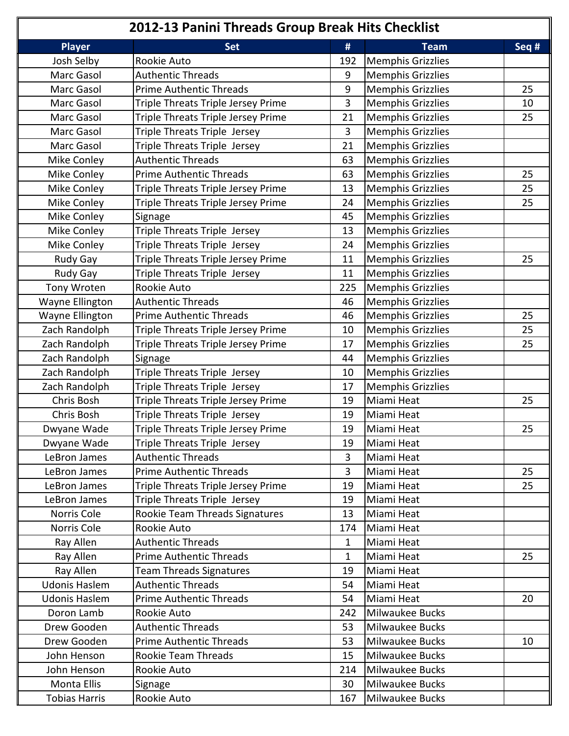| 2012-13 Panini Threads Group Break Hits Checklist |                                    |              |                          |       |
|---------------------------------------------------|------------------------------------|--------------|--------------------------|-------|
| <b>Player</b>                                     | <b>Set</b>                         | #            | <b>Team</b>              | Seq # |
| Josh Selby                                        | Rookie Auto                        | 192          | <b>Memphis Grizzlies</b> |       |
| Marc Gasol                                        | <b>Authentic Threads</b>           | 9            | <b>Memphis Grizzlies</b> |       |
| Marc Gasol                                        | <b>Prime Authentic Threads</b>     | 9            | <b>Memphis Grizzlies</b> | 25    |
| Marc Gasol                                        | Triple Threats Triple Jersey Prime | 3            | <b>Memphis Grizzlies</b> | 10    |
| Marc Gasol                                        | Triple Threats Triple Jersey Prime | 21           | <b>Memphis Grizzlies</b> | 25    |
| Marc Gasol                                        | Triple Threats Triple Jersey       | 3            | <b>Memphis Grizzlies</b> |       |
| <b>Marc Gasol</b>                                 | Triple Threats Triple Jersey       | 21           | <b>Memphis Grizzlies</b> |       |
| Mike Conley                                       | <b>Authentic Threads</b>           | 63           | <b>Memphis Grizzlies</b> |       |
| Mike Conley                                       | <b>Prime Authentic Threads</b>     | 63           | <b>Memphis Grizzlies</b> | 25    |
| Mike Conley                                       | Triple Threats Triple Jersey Prime | 13           | <b>Memphis Grizzlies</b> | 25    |
| Mike Conley                                       | Triple Threats Triple Jersey Prime | 24           | <b>Memphis Grizzlies</b> | 25    |
| Mike Conley                                       | Signage                            | 45           | <b>Memphis Grizzlies</b> |       |
| Mike Conley                                       | Triple Threats Triple Jersey       | 13           | <b>Memphis Grizzlies</b> |       |
| Mike Conley                                       | Triple Threats Triple Jersey       | 24           | <b>Memphis Grizzlies</b> |       |
| Rudy Gay                                          | Triple Threats Triple Jersey Prime | 11           | <b>Memphis Grizzlies</b> | 25    |
| Rudy Gay                                          | Triple Threats Triple Jersey       | 11           | <b>Memphis Grizzlies</b> |       |
| Tony Wroten                                       | Rookie Auto                        | 225          | <b>Memphis Grizzlies</b> |       |
| Wayne Ellington                                   | <b>Authentic Threads</b>           | 46           | <b>Memphis Grizzlies</b> |       |
| Wayne Ellington                                   | <b>Prime Authentic Threads</b>     | 46           | <b>Memphis Grizzlies</b> | 25    |
| Zach Randolph                                     | Triple Threats Triple Jersey Prime | 10           | <b>Memphis Grizzlies</b> | 25    |
| Zach Randolph                                     | Triple Threats Triple Jersey Prime | 17           | <b>Memphis Grizzlies</b> | 25    |
| Zach Randolph                                     | Signage                            | 44           | <b>Memphis Grizzlies</b> |       |
| Zach Randolph                                     | Triple Threats Triple Jersey       | 10           | <b>Memphis Grizzlies</b> |       |
| Zach Randolph                                     | Triple Threats Triple Jersey       | 17           | <b>Memphis Grizzlies</b> |       |
| Chris Bosh                                        | Triple Threats Triple Jersey Prime | 19           | Miami Heat               | 25    |
| Chris Bosh                                        | Triple Threats Triple Jersey       | 19           | Miami Heat               |       |
| Dwyane Wade                                       | Triple Threats Triple Jersey Prime | 19           | Miami Heat               | 25    |
| Dwyane Wade                                       | Triple Threats Triple Jersey       | 19           | Miami Heat               |       |
| LeBron James                                      | <b>Authentic Threads</b>           | 3            | Miami Heat               |       |
| LeBron James                                      | Prime Authentic Threads            | 3            | Miami Heat               | 25    |
| LeBron James                                      | Triple Threats Triple Jersey Prime | 19           | Miami Heat               | 25    |
| LeBron James                                      | Triple Threats Triple Jersey       | 19           | Miami Heat               |       |
| Norris Cole                                       | Rookie Team Threads Signatures     | 13           | Miami Heat               |       |
| Norris Cole                                       | Rookie Auto                        | 174          | Miami Heat               |       |
| Ray Allen                                         | <b>Authentic Threads</b>           | $\mathbf{1}$ | Miami Heat               |       |
| Ray Allen                                         | <b>Prime Authentic Threads</b>     | 1            | Miami Heat               | 25    |
| Ray Allen                                         | <b>Team Threads Signatures</b>     | 19           | Miami Heat               |       |
| <b>Udonis Haslem</b>                              | <b>Authentic Threads</b>           | 54           | Miami Heat               |       |
| <b>Udonis Haslem</b>                              | <b>Prime Authentic Threads</b>     | 54           | Miami Heat               | 20    |
| Doron Lamb                                        | Rookie Auto                        | 242          | Milwaukee Bucks          |       |
| Drew Gooden                                       | <b>Authentic Threads</b>           | 53           | Milwaukee Bucks          |       |
| Drew Gooden                                       | <b>Prime Authentic Threads</b>     | 53           | Milwaukee Bucks          | 10    |
| John Henson                                       | Rookie Team Threads                | 15           | Milwaukee Bucks          |       |
| John Henson                                       | Rookie Auto                        | 214          | Milwaukee Bucks          |       |
| Monta Ellis                                       | Signage                            | 30           | Milwaukee Bucks          |       |
| <b>Tobias Harris</b>                              | Rookie Auto                        | 167          | Milwaukee Bucks          |       |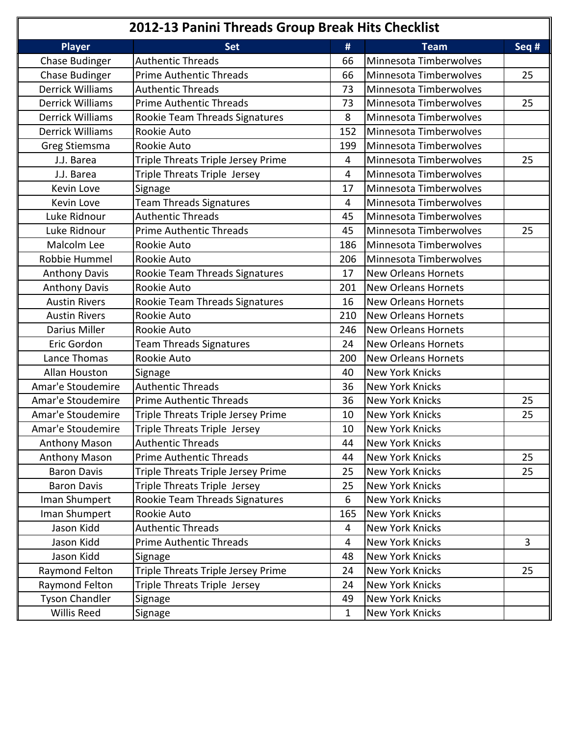| 2012-13 Panini Threads Group Break Hits Checklist |                                    |              |                            |       |
|---------------------------------------------------|------------------------------------|--------------|----------------------------|-------|
| <b>Player</b>                                     | <b>Set</b>                         | #            | <b>Team</b>                | Seq # |
| Chase Budinger                                    | <b>Authentic Threads</b>           | 66           | Minnesota Timberwolves     |       |
| <b>Chase Budinger</b>                             | <b>Prime Authentic Threads</b>     | 66           | Minnesota Timberwolves     | 25    |
| <b>Derrick Williams</b>                           | <b>Authentic Threads</b>           | 73           | Minnesota Timberwolves     |       |
| <b>Derrick Williams</b>                           | <b>Prime Authentic Threads</b>     | 73           | Minnesota Timberwolves     | 25    |
| <b>Derrick Williams</b>                           | Rookie Team Threads Signatures     | 8            | Minnesota Timberwolves     |       |
| <b>Derrick Williams</b>                           | Rookie Auto                        | 152          | Minnesota Timberwolves     |       |
| Greg Stiemsma                                     | Rookie Auto                        | 199          | Minnesota Timberwolves     |       |
| J.J. Barea                                        | Triple Threats Triple Jersey Prime | 4            | Minnesota Timberwolves     | 25    |
| J.J. Barea                                        | Triple Threats Triple Jersey       | 4            | Minnesota Timberwolves     |       |
| Kevin Love                                        | Signage                            | 17           | Minnesota Timberwolves     |       |
| Kevin Love                                        | <b>Team Threads Signatures</b>     | 4            | Minnesota Timberwolves     |       |
| Luke Ridnour                                      | <b>Authentic Threads</b>           | 45           | Minnesota Timberwolves     |       |
| Luke Ridnour                                      | <b>Prime Authentic Threads</b>     | 45           | Minnesota Timberwolves     | 25    |
| Malcolm Lee                                       | Rookie Auto                        | 186          | Minnesota Timberwolves     |       |
| Robbie Hummel                                     | Rookie Auto                        | 206          | Minnesota Timberwolves     |       |
| <b>Anthony Davis</b>                              | Rookie Team Threads Signatures     | 17           | <b>New Orleans Hornets</b> |       |
| <b>Anthony Davis</b>                              | Rookie Auto                        | 201          | <b>New Orleans Hornets</b> |       |
| <b>Austin Rivers</b>                              | Rookie Team Threads Signatures     | 16           | <b>New Orleans Hornets</b> |       |
| <b>Austin Rivers</b>                              | Rookie Auto                        | 210          | <b>New Orleans Hornets</b> |       |
| Darius Miller                                     | Rookie Auto                        | 246          | <b>New Orleans Hornets</b> |       |
| Eric Gordon                                       | <b>Team Threads Signatures</b>     | 24           | <b>New Orleans Hornets</b> |       |
| Lance Thomas                                      | Rookie Auto                        | 200          | <b>New Orleans Hornets</b> |       |
| <b>Allan Houston</b>                              | Signage                            | 40           | New York Knicks            |       |
| Amar'e Stoudemire                                 | <b>Authentic Threads</b>           | 36           | <b>New York Knicks</b>     |       |
| Amar'e Stoudemire                                 | <b>Prime Authentic Threads</b>     | 36           | <b>New York Knicks</b>     | 25    |
| Amar'e Stoudemire                                 | Triple Threats Triple Jersey Prime | 10           | <b>New York Knicks</b>     | 25    |
| Amar'e Stoudemire                                 | Triple Threats Triple Jersey       | 10           | New York Knicks            |       |
| <b>Anthony Mason</b>                              | <b>Authentic Threads</b>           | 44           | <b>New York Knicks</b>     |       |
| Anthony Mason                                     | <b>Prime Authentic Threads</b>     | 44           | New York Knicks            | 25    |
| <b>Baron Davis</b>                                | Triple Threats Triple Jersey Prime | 25           | <b>New York Knicks</b>     | 25    |
| <b>Baron Davis</b>                                | Triple Threats Triple Jersey       | 25           | <b>New York Knicks</b>     |       |
| Iman Shumpert                                     | Rookie Team Threads Signatures     | 6            | New York Knicks            |       |
| Iman Shumpert                                     | Rookie Auto                        | 165          | <b>New York Knicks</b>     |       |
| Jason Kidd                                        | <b>Authentic Threads</b>           | 4            | New York Knicks            |       |
| Jason Kidd                                        | <b>Prime Authentic Threads</b>     | 4            | <b>New York Knicks</b>     | 3     |
| Jason Kidd                                        | Signage                            | 48           | <b>New York Knicks</b>     |       |
| Raymond Felton                                    | Triple Threats Triple Jersey Prime | 24           | <b>New York Knicks</b>     | 25    |
| Raymond Felton                                    | Triple Threats Triple Jersey       | 24           | New York Knicks            |       |
| <b>Tyson Chandler</b>                             | Signage                            | 49           | <b>New York Knicks</b>     |       |
| Willis Reed                                       | Signage                            | $\mathbf{1}$ | New York Knicks            |       |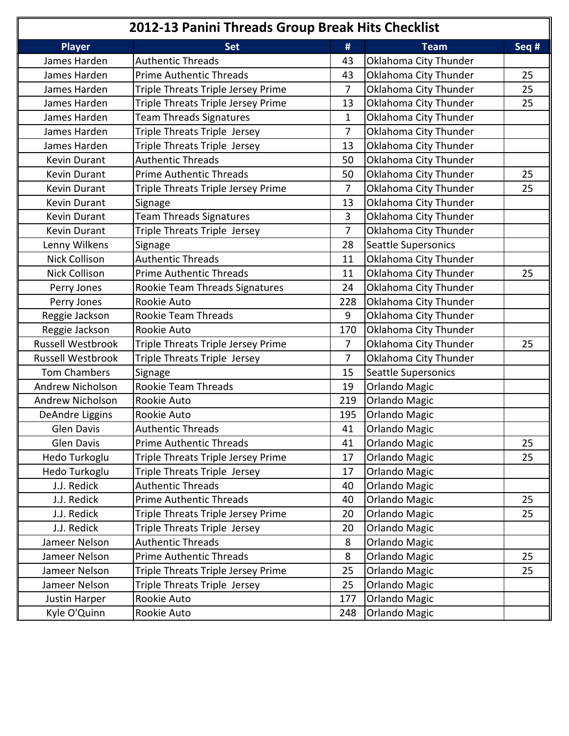| 2012-13 Panini Threads Group Break Hits Checklist |                                    |                |                       |       |
|---------------------------------------------------|------------------------------------|----------------|-----------------------|-------|
| <b>Player</b>                                     | <b>Set</b>                         | #              | <b>Team</b>           | Seq # |
| James Harden                                      | <b>Authentic Threads</b>           | 43             | Oklahoma City Thunder |       |
| James Harden                                      | <b>Prime Authentic Threads</b>     | 43             | Oklahoma City Thunder | 25    |
| James Harden                                      | Triple Threats Triple Jersey Prime | $\overline{7}$ | Oklahoma City Thunder | 25    |
| James Harden                                      | Triple Threats Triple Jersey Prime | 13             | Oklahoma City Thunder | 25    |
| James Harden                                      | <b>Team Threads Signatures</b>     | 1              | Oklahoma City Thunder |       |
| James Harden                                      | Triple Threats Triple Jersey       | 7              | Oklahoma City Thunder |       |
| James Harden                                      | Triple Threats Triple Jersey       | 13             | Oklahoma City Thunder |       |
| Kevin Durant                                      | <b>Authentic Threads</b>           | 50             | Oklahoma City Thunder |       |
| Kevin Durant                                      | <b>Prime Authentic Threads</b>     | 50             | Oklahoma City Thunder | 25    |
| Kevin Durant                                      | Triple Threats Triple Jersey Prime | 7              | Oklahoma City Thunder | 25    |
| <b>Kevin Durant</b>                               | Signage                            | 13             | Oklahoma City Thunder |       |
| Kevin Durant                                      | <b>Team Threads Signatures</b>     | 3              | Oklahoma City Thunder |       |
| Kevin Durant                                      | Triple Threats Triple Jersey       | 7              | Oklahoma City Thunder |       |
| Lenny Wilkens                                     | Signage                            | 28             | Seattle Supersonics   |       |
| <b>Nick Collison</b>                              | <b>Authentic Threads</b>           | 11             | Oklahoma City Thunder |       |
| <b>Nick Collison</b>                              | <b>Prime Authentic Threads</b>     | 11             | Oklahoma City Thunder | 25    |
| Perry Jones                                       | Rookie Team Threads Signatures     | 24             | Oklahoma City Thunder |       |
| Perry Jones                                       | Rookie Auto                        | 228            | Oklahoma City Thunder |       |
| Reggie Jackson                                    | Rookie Team Threads                | 9              | Oklahoma City Thunder |       |
| Reggie Jackson                                    | Rookie Auto                        | 170            | Oklahoma City Thunder |       |
| Russell Westbrook                                 | Triple Threats Triple Jersey Prime | 7              | Oklahoma City Thunder | 25    |
| <b>Russell Westbrook</b>                          | Triple Threats Triple Jersey       | 7              | Oklahoma City Thunder |       |
| <b>Tom Chambers</b>                               | Signage                            | 15             | Seattle Supersonics   |       |
| Andrew Nicholson                                  | <b>Rookie Team Threads</b>         | 19             | <b>Orlando Magic</b>  |       |
| Andrew Nicholson                                  | Rookie Auto                        | 219            | <b>Orlando Magic</b>  |       |
| DeAndre Liggins                                   | Rookie Auto                        | 195            | <b>Orlando Magic</b>  |       |
| Glen Davis                                        | <b>Authentic Threads</b>           | 41             | <b>Orlando Magic</b>  |       |
| Glen Davis                                        | <b>Prime Authentic Threads</b>     | 41             | <b>Orlando Magic</b>  | 25    |
| Hedo Turkoglu                                     | Triple Threats Triple Jersey Prime | 17             | <b>Orlando Magic</b>  | 25    |
| Hedo Turkoglu                                     | Triple Threats Triple Jersey       | 17             | <b>Orlando Magic</b>  |       |
| J.J. Redick                                       | <b>Authentic Threads</b>           | 40             | <b>Orlando Magic</b>  |       |
| J.J. Redick                                       | <b>Prime Authentic Threads</b>     | 40             | <b>Orlando Magic</b>  | 25    |
| J.J. Redick                                       | Triple Threats Triple Jersey Prime | 20             | <b>Orlando Magic</b>  | 25    |
| J.J. Redick                                       | Triple Threats Triple Jersey       | 20             | <b>Orlando Magic</b>  |       |
| Jameer Nelson                                     | <b>Authentic Threads</b>           | 8              | <b>Orlando Magic</b>  |       |
| Jameer Nelson                                     | <b>Prime Authentic Threads</b>     | 8              | <b>Orlando Magic</b>  | 25    |
| Jameer Nelson                                     | Triple Threats Triple Jersey Prime | 25             | <b>Orlando Magic</b>  | 25    |
| Jameer Nelson                                     | Triple Threats Triple Jersey       | 25             | <b>Orlando Magic</b>  |       |
| Justin Harper                                     | Rookie Auto                        | 177            | <b>Orlando Magic</b>  |       |
| Kyle O'Quinn                                      | Rookie Auto                        | 248            | <b>Orlando Magic</b>  |       |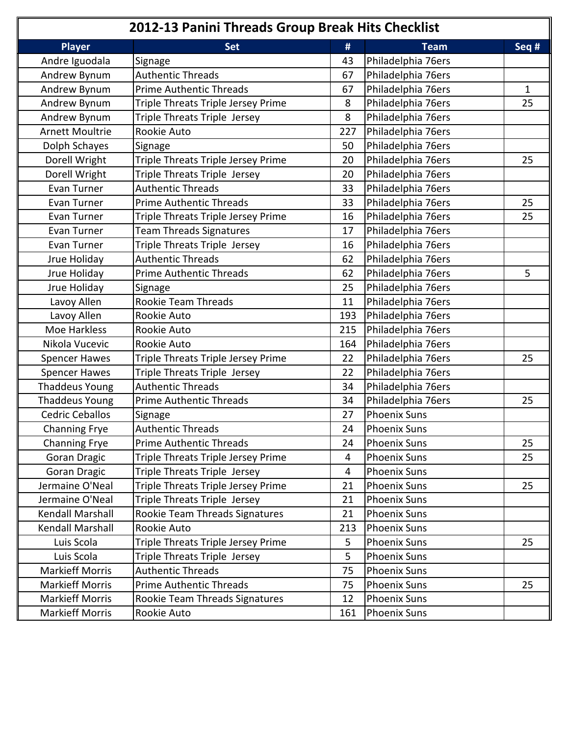| 2012-13 Panini Threads Group Break Hits Checklist |                                    |                |                     |              |
|---------------------------------------------------|------------------------------------|----------------|---------------------|--------------|
| <b>Player</b>                                     | <b>Set</b>                         | #              | <b>Team</b>         | Seq #        |
| Andre Iguodala                                    | Signage                            | 43             | Philadelphia 76ers  |              |
| Andrew Bynum                                      | <b>Authentic Threads</b>           | 67             | Philadelphia 76ers  |              |
| Andrew Bynum                                      | <b>Prime Authentic Threads</b>     | 67             | Philadelphia 76ers  | $\mathbf{1}$ |
| Andrew Bynum                                      | Triple Threats Triple Jersey Prime | 8              | Philadelphia 76ers  | 25           |
| Andrew Bynum                                      | Triple Threats Triple Jersey       | 8              | Philadelphia 76ers  |              |
| <b>Arnett Moultrie</b>                            | Rookie Auto                        | 227            | Philadelphia 76ers  |              |
| Dolph Schayes                                     | Signage                            | 50             | Philadelphia 76ers  |              |
| Dorell Wright                                     | Triple Threats Triple Jersey Prime | 20             | Philadelphia 76ers  | 25           |
| Dorell Wright                                     | Triple Threats Triple Jersey       | 20             | Philadelphia 76ers  |              |
| Evan Turner                                       | <b>Authentic Threads</b>           | 33             | Philadelphia 76ers  |              |
| Evan Turner                                       | <b>Prime Authentic Threads</b>     | 33             | Philadelphia 76ers  | 25           |
| Evan Turner                                       | Triple Threats Triple Jersey Prime | 16             | Philadelphia 76ers  | 25           |
| Evan Turner                                       | <b>Team Threads Signatures</b>     | 17             | Philadelphia 76ers  |              |
| Evan Turner                                       | Triple Threats Triple Jersey       | 16             | Philadelphia 76ers  |              |
| Jrue Holiday                                      | <b>Authentic Threads</b>           | 62             | Philadelphia 76ers  |              |
| Jrue Holiday                                      | <b>Prime Authentic Threads</b>     | 62             | Philadelphia 76ers  | 5            |
| Jrue Holiday                                      | Signage                            | 25             | Philadelphia 76ers  |              |
| Lavoy Allen                                       | Rookie Team Threads                | 11             | Philadelphia 76ers  |              |
| Lavoy Allen                                       | Rookie Auto                        | 193            | Philadelphia 76ers  |              |
| Moe Harkless                                      | Rookie Auto                        | 215            | Philadelphia 76ers  |              |
| Nikola Vucevic                                    | Rookie Auto                        | 164            | Philadelphia 76ers  |              |
| <b>Spencer Hawes</b>                              | Triple Threats Triple Jersey Prime | 22             | Philadelphia 76ers  | 25           |
| <b>Spencer Hawes</b>                              | Triple Threats Triple Jersey       | 22             | Philadelphia 76ers  |              |
| <b>Thaddeus Young</b>                             | <b>Authentic Threads</b>           | 34             | Philadelphia 76ers  |              |
| <b>Thaddeus Young</b>                             | <b>Prime Authentic Threads</b>     | 34             | Philadelphia 76ers  | 25           |
| <b>Cedric Ceballos</b>                            | Signage                            | 27             | <b>Phoenix Suns</b> |              |
| <b>Channing Frye</b>                              | <b>Authentic Threads</b>           | 24             | <b>Phoenix Suns</b> |              |
| <b>Channing Frye</b>                              | <b>Prime Authentic Threads</b>     | 24             | <b>Phoenix Suns</b> | 25           |
| Goran Dragic                                      | Triple Threats Triple Jersey Prime | $\overline{4}$ | <b>Phoenix Suns</b> | 25           |
| Goran Dragic                                      | Triple Threats Triple Jersey       | 4              | <b>Phoenix Suns</b> |              |
| Jermaine O'Neal                                   | Triple Threats Triple Jersey Prime | 21             | <b>Phoenix Suns</b> | 25           |
| Jermaine O'Neal                                   | Triple Threats Triple Jersey       | 21             | <b>Phoenix Suns</b> |              |
| Kendall Marshall                                  | Rookie Team Threads Signatures     | 21             | <b>Phoenix Suns</b> |              |
| Kendall Marshall                                  | Rookie Auto                        | 213            | <b>Phoenix Suns</b> |              |
| Luis Scola                                        | Triple Threats Triple Jersey Prime | 5              | <b>Phoenix Suns</b> | 25           |
| Luis Scola                                        | Triple Threats Triple Jersey       | 5              | <b>Phoenix Suns</b> |              |
| <b>Markieff Morris</b>                            | <b>Authentic Threads</b>           | 75             | <b>Phoenix Suns</b> |              |
| <b>Markieff Morris</b>                            | <b>Prime Authentic Threads</b>     | 75             | <b>Phoenix Suns</b> | 25           |
| <b>Markieff Morris</b>                            | Rookie Team Threads Signatures     | 12             | <b>Phoenix Suns</b> |              |
| <b>Markieff Morris</b>                            | Rookie Auto                        | 161            | <b>Phoenix Suns</b> |              |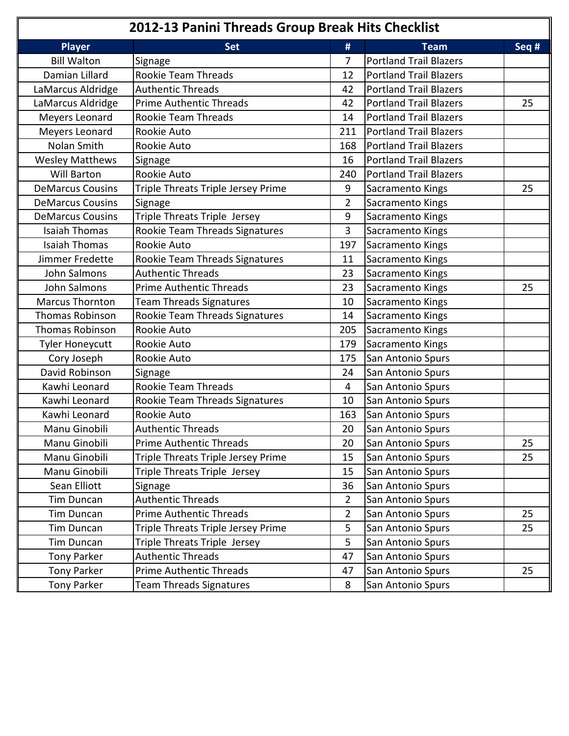|                         | 2012-13 Panini Threads Group Break Hits Checklist |                |                               |       |
|-------------------------|---------------------------------------------------|----------------|-------------------------------|-------|
| <b>Player</b>           | <b>Set</b>                                        | #              | <b>Team</b>                   | Seq # |
| <b>Bill Walton</b>      | Signage                                           | 7              | <b>Portland Trail Blazers</b> |       |
| Damian Lillard          | Rookie Team Threads                               | 12             | <b>Portland Trail Blazers</b> |       |
| LaMarcus Aldridge       | <b>Authentic Threads</b>                          | 42             | <b>Portland Trail Blazers</b> |       |
| LaMarcus Aldridge       | <b>Prime Authentic Threads</b>                    | 42             | <b>Portland Trail Blazers</b> | 25    |
| Meyers Leonard          | Rookie Team Threads                               | 14             | <b>Portland Trail Blazers</b> |       |
| Meyers Leonard          | Rookie Auto                                       | 211            | <b>Portland Trail Blazers</b> |       |
| Nolan Smith             | Rookie Auto                                       | 168            | <b>Portland Trail Blazers</b> |       |
| <b>Wesley Matthews</b>  | Signage                                           | 16             | <b>Portland Trail Blazers</b> |       |
| <b>Will Barton</b>      | Rookie Auto                                       | 240            | <b>Portland Trail Blazers</b> |       |
| <b>DeMarcus Cousins</b> | Triple Threats Triple Jersey Prime                | 9              | Sacramento Kings              | 25    |
| <b>DeMarcus Cousins</b> | Signage                                           | $\overline{2}$ | Sacramento Kings              |       |
| <b>DeMarcus Cousins</b> | Triple Threats Triple Jersey                      | 9              | Sacramento Kings              |       |
| <b>Isaiah Thomas</b>    | Rookie Team Threads Signatures                    | 3              | Sacramento Kings              |       |
| <b>Isaiah Thomas</b>    | Rookie Auto                                       | 197            | Sacramento Kings              |       |
| Jimmer Fredette         | Rookie Team Threads Signatures                    | 11             | Sacramento Kings              |       |
| John Salmons            | <b>Authentic Threads</b>                          | 23             | Sacramento Kings              |       |
| John Salmons            | <b>Prime Authentic Threads</b>                    | 23             | Sacramento Kings              | 25    |
| <b>Marcus Thornton</b>  | <b>Team Threads Signatures</b>                    | 10             | Sacramento Kings              |       |
| <b>Thomas Robinson</b>  | Rookie Team Threads Signatures                    | 14             | Sacramento Kings              |       |
| <b>Thomas Robinson</b>  | <b>Rookie Auto</b>                                | 205            | Sacramento Kings              |       |
| Tyler Honeycutt         | Rookie Auto                                       | 179            | Sacramento Kings              |       |
| Cory Joseph             | Rookie Auto                                       | 175            | San Antonio Spurs             |       |
| David Robinson          | Signage                                           | 24             | San Antonio Spurs             |       |
| Kawhi Leonard           | Rookie Team Threads                               | $\overline{4}$ | San Antonio Spurs             |       |
| Kawhi Leonard           | Rookie Team Threads Signatures                    | 10             | San Antonio Spurs             |       |
| Kawhi Leonard           | Rookie Auto                                       | 163            | San Antonio Spurs             |       |
| Manu Ginobili           | Authentic Threads                                 | 20             | San Antonio Spurs             |       |
| Manu Ginobili           | <b>Prime Authentic Threads</b>                    | 20             | San Antonio Spurs             | 25    |
| Manu Ginobili           | Triple Threats Triple Jersey Prime                | 15             | San Antonio Spurs             | 25    |
| Manu Ginobili           | Triple Threats Triple Jersey                      | 15             | San Antonio Spurs             |       |
| Sean Elliott            | Signage                                           | 36             | San Antonio Spurs             |       |
| Tim Duncan              | <b>Authentic Threads</b>                          | 2              | San Antonio Spurs             |       |
| Tim Duncan              | <b>Prime Authentic Threads</b>                    | $\overline{2}$ | San Antonio Spurs             | 25    |
| Tim Duncan              | Triple Threats Triple Jersey Prime                | 5              | San Antonio Spurs             | 25    |
| Tim Duncan              | Triple Threats Triple Jersey                      | 5              | San Antonio Spurs             |       |
| <b>Tony Parker</b>      | <b>Authentic Threads</b>                          | 47             | San Antonio Spurs             |       |
| <b>Tony Parker</b>      | <b>Prime Authentic Threads</b>                    | 47             | San Antonio Spurs             | 25    |
| <b>Tony Parker</b>      | <b>Team Threads Signatures</b>                    | 8              | San Antonio Spurs             |       |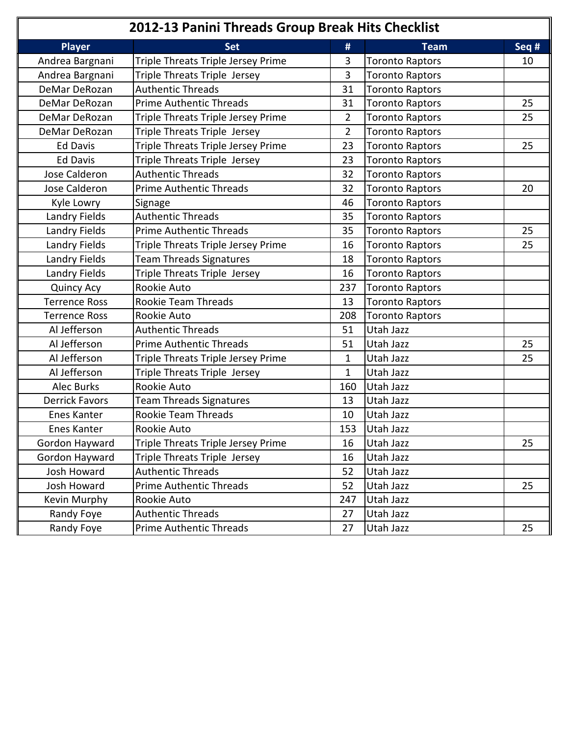| 2012-13 Panini Threads Group Break Hits Checklist |                                    |                |                        |       |  |  |
|---------------------------------------------------|------------------------------------|----------------|------------------------|-------|--|--|
| <b>Player</b>                                     | <b>Set</b>                         | #              | <b>Team</b>            | Seq # |  |  |
| Andrea Bargnani                                   | Triple Threats Triple Jersey Prime | 3              | <b>Toronto Raptors</b> | 10    |  |  |
| Andrea Bargnani                                   | Triple Threats Triple Jersey       | 3              | <b>Toronto Raptors</b> |       |  |  |
| DeMar DeRozan                                     | <b>Authentic Threads</b>           | 31             | <b>Toronto Raptors</b> |       |  |  |
| DeMar DeRozan                                     | <b>Prime Authentic Threads</b>     | 31             | <b>Toronto Raptors</b> | 25    |  |  |
| DeMar DeRozan                                     | Triple Threats Triple Jersey Prime | $\overline{2}$ | <b>Toronto Raptors</b> | 25    |  |  |
| DeMar DeRozan                                     | Triple Threats Triple Jersey       | 2              | <b>Toronto Raptors</b> |       |  |  |
| <b>Ed Davis</b>                                   | Triple Threats Triple Jersey Prime | 23             | <b>Toronto Raptors</b> | 25    |  |  |
| <b>Ed Davis</b>                                   | Triple Threats Triple Jersey       | 23             | <b>Toronto Raptors</b> |       |  |  |
| Jose Calderon                                     | <b>Authentic Threads</b>           | 32             | <b>Toronto Raptors</b> |       |  |  |
| Jose Calderon                                     | <b>Prime Authentic Threads</b>     | 32             | <b>Toronto Raptors</b> | 20    |  |  |
| Kyle Lowry                                        | Signage                            | 46             | <b>Toronto Raptors</b> |       |  |  |
| Landry Fields                                     | <b>Authentic Threads</b>           | 35             | <b>Toronto Raptors</b> |       |  |  |
| Landry Fields                                     | <b>Prime Authentic Threads</b>     | 35             | <b>Toronto Raptors</b> | 25    |  |  |
| Landry Fields                                     | Triple Threats Triple Jersey Prime | 16             | <b>Toronto Raptors</b> | 25    |  |  |
| Landry Fields                                     | <b>Team Threads Signatures</b>     | 18             | <b>Toronto Raptors</b> |       |  |  |
| Landry Fields                                     | Triple Threats Triple Jersey       | 16             | <b>Toronto Raptors</b> |       |  |  |
| <b>Quincy Acy</b>                                 | Rookie Auto                        | 237            | <b>Toronto Raptors</b> |       |  |  |
| <b>Terrence Ross</b>                              | Rookie Team Threads                | 13             | <b>Toronto Raptors</b> |       |  |  |
| <b>Terrence Ross</b>                              | Rookie Auto                        | 208            | <b>Toronto Raptors</b> |       |  |  |
| Al Jefferson                                      | <b>Authentic Threads</b>           | 51             | Utah Jazz              |       |  |  |
| Al Jefferson                                      | <b>Prime Authentic Threads</b>     | 51             | Utah Jazz              | 25    |  |  |
| Al Jefferson                                      | Triple Threats Triple Jersey Prime | $\mathbf{1}$   | Utah Jazz              | 25    |  |  |
| Al Jefferson                                      | Triple Threats Triple Jersey       | 1              | Utah Jazz              |       |  |  |
| <b>Alec Burks</b>                                 | Rookie Auto                        | 160            | Utah Jazz              |       |  |  |
| <b>Derrick Favors</b>                             | <b>Team Threads Signatures</b>     | 13             | Utah Jazz              |       |  |  |
| Enes Kanter                                       | Rookie Team Threads                | 10             | Utah Jazz              |       |  |  |
| Enes Kanter                                       | Rookie Auto                        | 153            | Utah Jazz              |       |  |  |
| Gordon Hayward                                    | Triple Threats Triple Jersey Prime | 16             | Utah Jazz              | 25    |  |  |
| Gordon Hayward                                    | Triple Threats Triple Jersey       | 16             | Utah Jazz              |       |  |  |
| Josh Howard                                       | <b>Authentic Threads</b>           | 52             | Utah Jazz              |       |  |  |
| Josh Howard                                       | <b>Prime Authentic Threads</b>     | 52             | Utah Jazz              | 25    |  |  |
| Kevin Murphy                                      | Rookie Auto                        | 247            | Utah Jazz              |       |  |  |
| Randy Foye                                        | <b>Authentic Threads</b>           | 27             | Utah Jazz              |       |  |  |
| Randy Foye                                        | <b>Prime Authentic Threads</b>     | 27             | Utah Jazz              | 25    |  |  |